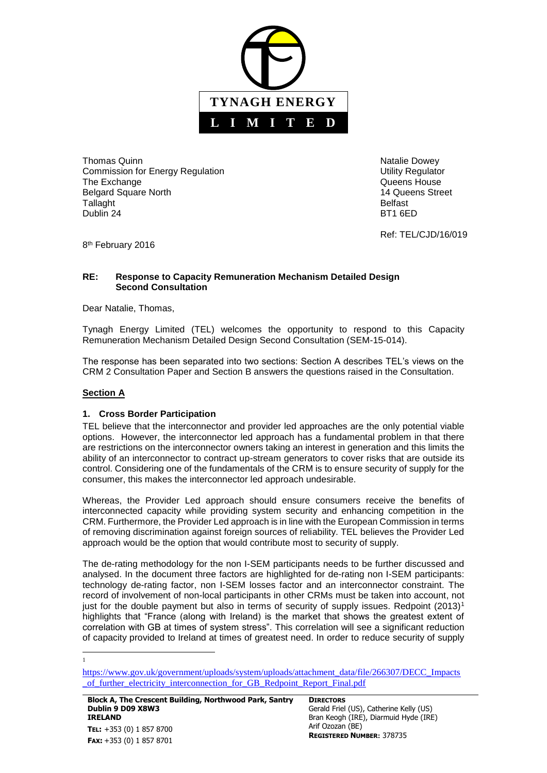

Thomas Quinn Natalie Dowey Natalie Dowey Natalie Dowey Commission for Energy Regulation **Network Commission** Utility Regulator The Exchange **The Exchange CONSISTENT CONSISTENT Queens House Queens** House Belgard Square North 14 Queens Street Tallaght **Belfast** Dublin 24 BT1 6ED

Ref: TEL/CJD/16/019

8<sup>th</sup> February 2016

#### **RE: Response to Capacity Remuneration Mechanism Detailed Design Second Consultation**

Dear Natalie, Thomas,

Tynagh Energy Limited (TEL) welcomes the opportunity to respond to this Capacity Remuneration Mechanism Detailed Design Second Consultation (SEM-15-014).

The response has been separated into two sections: Section A describes TEL's views on the CRM 2 Consultation Paper and Section B answers the questions raised in the Consultation.

## **Section A**

#### **1. Cross Border Participation**

TEL believe that the interconnector and provider led approaches are the only potential viable options. However, the interconnector led approach has a fundamental problem in that there are restrictions on the interconnector owners taking an interest in generation and this limits the ability of an interconnector to contract up-stream generators to cover risks that are outside its control. Considering one of the fundamentals of the CRM is to ensure security of supply for the consumer, this makes the interconnector led approach undesirable.

Whereas, the Provider Led approach should ensure consumers receive the benefits of interconnected capacity while providing system security and enhancing competition in the CRM. Furthermore, the Provider Led approach is in line with the European Commission in terms of removing discrimination against foreign sources of reliability. TEL believes the Provider Led approach would be the option that would contribute most to security of supply.

The de-rating methodology for the non I-SEM participants needs to be further discussed and analysed. In the document three factors are highlighted for de-rating non I-SEM participants: technology de-rating factor, non I-SEM losses factor and an interconnector constraint. The record of involvement of non-local participants in other CRMs must be taken into account, not just for the double payment but also in terms of security of supply issues. Redpoint  $(2013)^1$ highlights that "France (along with Ireland) is the market that shows the greatest extent of correlation with GB at times of system stress". This correlation will see a significant reduction of capacity provided to Ireland at times of greatest need. In order to reduce security of supply

**Block A, The Crescent Building, Northwood Park, Santry Dublin 9 D09 X8W3 IRELAND TEL:** +353 (0) 1 857 8700 **FAX:** +353 (0) 1 857 8701

**DIRECTORS** Gerald Friel (US), Catherine Kelly (US) Bran Keogh (IRE), Diarmuid Hyde (IRE) Arif Ozozan (BE) **REGISTERED NUMBER:** 378735

l 1

[https://www.gov.uk/government/uploads/system/uploads/attachment\\_data/file/266307/DECC\\_Impacts](https://www.gov.uk/government/uploads/system/uploads/attachment_data/file/266307/DECC_Impacts_of_further_electricity_interconnection_for_GB_Redpoint_Report_Final.pdf) of further electricity interconnection for GB\_Redpoint\_Report\_Final.pdf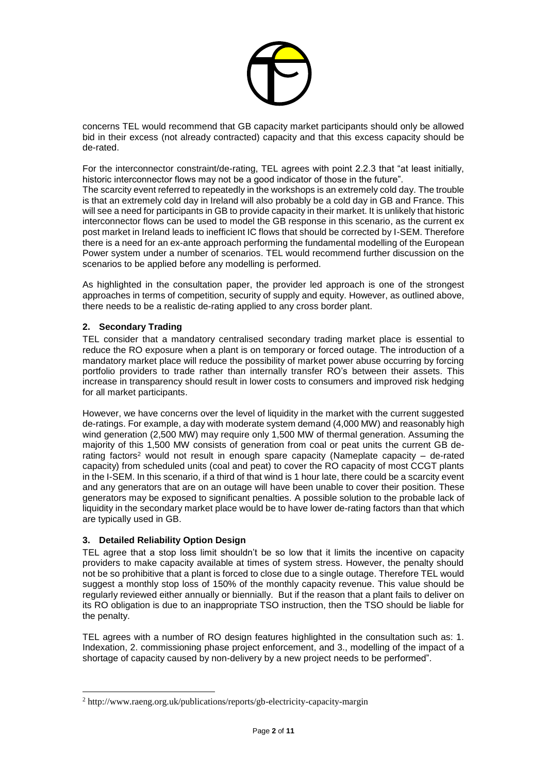

concerns TEL would recommend that GB capacity market participants should only be allowed bid in their excess (not already contracted) capacity and that this excess capacity should be de-rated.

For the interconnector constraint/de-rating, TEL agrees with point 2.2.3 that "at least initially, historic interconnector flows may not be a good indicator of those in the future".

The scarcity event referred to repeatedly in the workshops is an extremely cold day. The trouble is that an extremely cold day in Ireland will also probably be a cold day in GB and France. This will see a need for participants in GB to provide capacity in their market. It is unlikely that historic interconnector flows can be used to model the GB response in this scenario, as the current ex post market in Ireland leads to inefficient IC flows that should be corrected by I-SEM. Therefore there is a need for an ex-ante approach performing the fundamental modelling of the European Power system under a number of scenarios. TEL would recommend further discussion on the scenarios to be applied before any modelling is performed.

As highlighted in the consultation paper, the provider led approach is one of the strongest approaches in terms of competition, security of supply and equity. However, as outlined above, there needs to be a realistic de-rating applied to any cross border plant.

### **2. Secondary Trading**

TEL consider that a mandatory centralised secondary trading market place is essential to reduce the RO exposure when a plant is on temporary or forced outage. The introduction of a mandatory market place will reduce the possibility of market power abuse occurring by forcing portfolio providers to trade rather than internally transfer RO's between their assets. This increase in transparency should result in lower costs to consumers and improved risk hedging for all market participants.

However, we have concerns over the level of liquidity in the market with the current suggested de-ratings. For example, a day with moderate system demand (4,000 MW) and reasonably high wind generation (2,500 MW) may require only 1,500 MW of thermal generation. Assuming the majority of this 1,500 MW consists of generation from coal or peat units the current GB derating factors<sup>2</sup> would not result in enough spare capacity (Nameplate capacity – de-rated capacity) from scheduled units (coal and peat) to cover the RO capacity of most CCGT plants in the I-SEM. In this scenario, if a third of that wind is 1 hour late, there could be a scarcity event and any generators that are on an outage will have been unable to cover their position. These generators may be exposed to significant penalties. A possible solution to the probable lack of liquidity in the secondary market place would be to have lower de-rating factors than that which are typically used in GB.

#### **3. Detailed Reliability Option Design**

 $\overline{a}$ 

TEL agree that a stop loss limit shouldn't be so low that it limits the incentive on capacity providers to make capacity available at times of system stress. However, the penalty should not be so prohibitive that a plant is forced to close due to a single outage. Therefore TEL would suggest a monthly stop loss of 150% of the monthly capacity revenue. This value should be regularly reviewed either annually or biennially. But if the reason that a plant fails to deliver on its RO obligation is due to an inappropriate TSO instruction, then the TSO should be liable for the penalty.

TEL agrees with a number of RO design features highlighted in the consultation such as: 1. Indexation, 2. commissioning phase project enforcement, and 3., modelling of the impact of a shortage of capacity caused by non-delivery by a new project needs to be performed".

<sup>2</sup> http://www.raeng.org.uk/publications/reports/gb-electricity-capacity-margin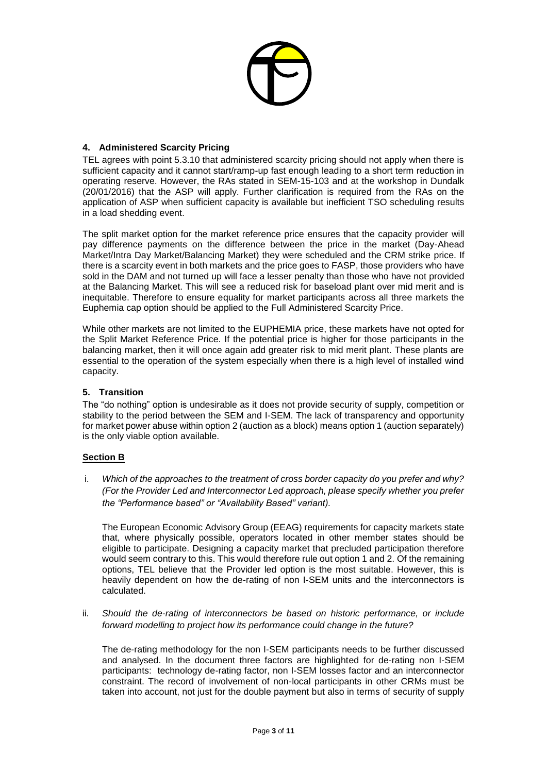

### **4. Administered Scarcity Pricing**

TEL agrees with point 5.3.10 that administered scarcity pricing should not apply when there is sufficient capacity and it cannot start/ramp-up fast enough leading to a short term reduction in operating reserve. However, the RAs stated in SEM-15-103 and at the workshop in Dundalk (20/01/2016) that the ASP will apply. Further clarification is required from the RAs on the application of ASP when sufficient capacity is available but inefficient TSO scheduling results in a load shedding event.

The split market option for the market reference price ensures that the capacity provider will pay difference payments on the difference between the price in the market (Day-Ahead Market/Intra Day Market/Balancing Market) they were scheduled and the CRM strike price. If there is a scarcity event in both markets and the price goes to FASP, those providers who have sold in the DAM and not turned up will face a lesser penalty than those who have not provided at the Balancing Market. This will see a reduced risk for baseload plant over mid merit and is inequitable. Therefore to ensure equality for market participants across all three markets the Euphemia cap option should be applied to the Full Administered Scarcity Price.

While other markets are not limited to the EUPHEMIA price, these markets have not opted for the Split Market Reference Price. If the potential price is higher for those participants in the balancing market, then it will once again add greater risk to mid merit plant. These plants are essential to the operation of the system especially when there is a high level of installed wind capacity.

#### **5. Transition**

The "do nothing" option is undesirable as it does not provide security of supply, competition or stability to the period between the SEM and I-SEM. The lack of transparency and opportunity for market power abuse within option 2 (auction as a block) means option 1 (auction separately) is the only viable option available.

#### **Section B**

i. *Which of the approaches to the treatment of cross border capacity do you prefer and why? (For the Provider Led and Interconnector Led approach, please specify whether you prefer the "Performance based" or "Availability Based" variant).* 

The European Economic Advisory Group (EEAG) requirements for capacity markets state that, where physically possible, operators located in other member states should be eligible to participate. Designing a capacity market that precluded participation therefore would seem contrary to this. This would therefore rule out option 1 and 2. Of the remaining options, TEL believe that the Provider led option is the most suitable. However, this is heavily dependent on how the de-rating of non I-SEM units and the interconnectors is calculated.

ii. *Should the de-rating of interconnectors be based on historic performance, or include forward modelling to project how its performance could change in the future?* 

The de-rating methodology for the non I-SEM participants needs to be further discussed and analysed. In the document three factors are highlighted for de-rating non I-SEM participants: technology de-rating factor, non I-SEM losses factor and an interconnector constraint. The record of involvement of non-local participants in other CRMs must be taken into account, not just for the double payment but also in terms of security of supply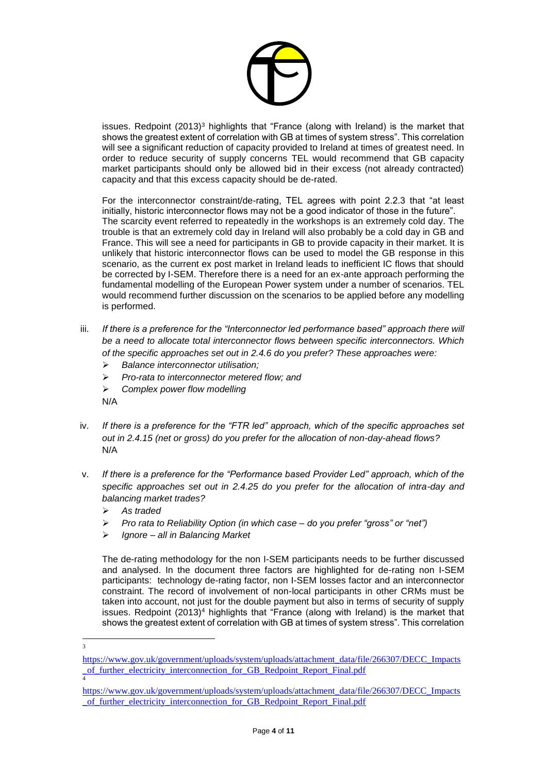

issues. Redpoint (2013)<sup>3</sup> highlights that "France (along with Ireland) is the market that shows the greatest extent of correlation with GB at times of system stress". This correlation will see a significant reduction of capacity provided to Ireland at times of greatest need. In order to reduce security of supply concerns TEL would recommend that GB capacity market participants should only be allowed bid in their excess (not already contracted) capacity and that this excess capacity should be de-rated.

For the interconnector constraint/de-rating, TEL agrees with point 2.2.3 that "at least initially, historic interconnector flows may not be a good indicator of those in the future". The scarcity event referred to repeatedly in the workshops is an extremely cold day. The trouble is that an extremely cold day in Ireland will also probably be a cold day in GB and France. This will see a need for participants in GB to provide capacity in their market. It is unlikely that historic interconnector flows can be used to model the GB response in this scenario, as the current ex post market in Ireland leads to inefficient IC flows that should be corrected by I-SEM. Therefore there is a need for an ex-ante approach performing the fundamental modelling of the European Power system under a number of scenarios. TEL would recommend further discussion on the scenarios to be applied before any modelling is performed.

- iii. If there is a preference for the "Interconnector led performance based" approach there will *be a need to allocate total interconnector flows between specific interconnectors. Which of the specific approaches set out in 2.4.6 do you prefer? These approaches were:* 
	- *Balance interconnector utilisation;*
	- *Pro-rata to interconnector metered flow; and*
	- *Complex power flow modelling*
	- N/A
- iv. *If there is a preference for the "FTR led" approach, which of the specific approaches set out in 2.4.15 (net or gross) do you prefer for the allocation of non-day-ahead flows?*  N/A
- v. *If there is a preference for the "Performance based Provider Led" approach, which of the specific approaches set out in 2.4.25 do you prefer for the allocation of intra-day and balancing market trades?* 
	- *As traded*
	- *Pro rata to Reliability Option (in which case – do you prefer "gross" or "net")*
	- *Ignore – all in Balancing Market*

The de-rating methodology for the non I-SEM participants needs to be further discussed and analysed. In the document three factors are highlighted for de-rating non I-SEM participants: technology de-rating factor, non I-SEM losses factor and an interconnector constraint. The record of involvement of non-local participants in other CRMs must be taken into account, not just for the double payment but also in terms of security of supply issues. Redpoint  $(2013)^4$  highlights that "France (along with Ireland) is the market that shows the greatest extent of correlation with GB at times of system stress". This correlation

 3

[https://www.gov.uk/government/uploads/system/uploads/attachment\\_data/file/266307/DECC\\_Impacts](https://www.gov.uk/government/uploads/system/uploads/attachment_data/file/266307/DECC_Impacts_of_further_electricity_interconnection_for_GB_Redpoint_Report_Final.pdf) of further electricity interconnection for GB Redpoint Report Final.pdf

[https://www.gov.uk/government/uploads/system/uploads/attachment\\_data/file/266307/DECC\\_Impacts](https://www.gov.uk/government/uploads/system/uploads/attachment_data/file/266307/DECC_Impacts_of_further_electricity_interconnection_for_GB_Redpoint_Report_Final.pdf) of further electricity interconnection for GB\_Redpoint\_Report\_Final.pdf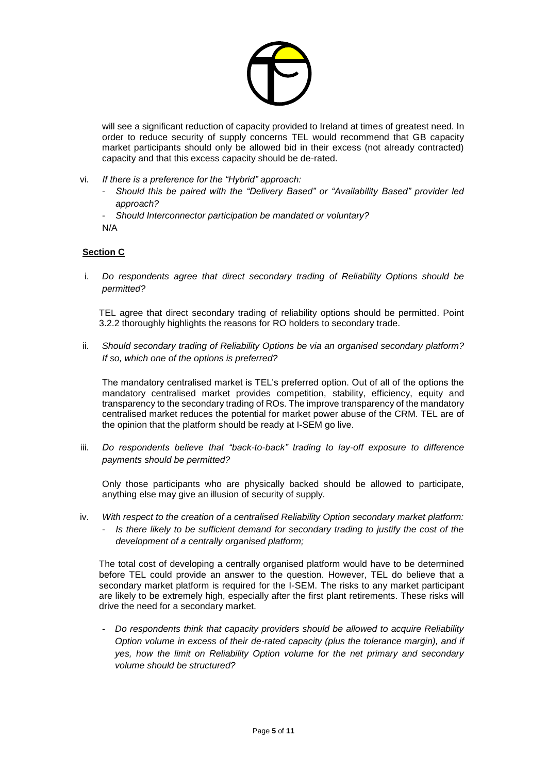

will see a significant reduction of capacity provided to Ireland at times of greatest need. In order to reduce security of supply concerns TEL would recommend that GB capacity market participants should only be allowed bid in their excess (not already contracted) capacity and that this excess capacity should be de-rated.

- vi. *If there is a preference for the "Hybrid" approach:* 
	- *Should this be paired with the "Delivery Based" or "Availability Based" provider led approach?*
	- *Should Interconnector participation be mandated or voluntary?*

N/A

## **Section C**

i. *Do respondents agree that direct secondary trading of Reliability Options should be permitted?*

TEL agree that direct secondary trading of reliability options should be permitted. Point 3.2.2 thoroughly highlights the reasons for RO holders to secondary trade.

ii. *Should secondary trading of Reliability Options be via an organised secondary platform? If so, which one of the options is preferred?*

The mandatory centralised market is TEL's preferred option. Out of all of the options the mandatory centralised market provides competition, stability, efficiency, equity and transparency to the secondary trading of ROs. The improve transparency of the mandatory centralised market reduces the potential for market power abuse of the CRM. TEL are of the opinion that the platform should be ready at I-SEM go live.

iii. *Do respondents believe that "back-to-back" trading to lay-off exposure to difference payments should be permitted?*

Only those participants who are physically backed should be allowed to participate, anything else may give an illusion of security of supply.

iv. *With respect to the creation of a centralised Reliability Option secondary market platform:* - *Is there likely to be sufficient demand for secondary trading to justify the cost of the development of a centrally organised platform;*

The total cost of developing a centrally organised platform would have to be determined before TEL could provide an answer to the question. However, TEL do believe that a secondary market platform is required for the I-SEM. The risks to any market participant are likely to be extremely high, especially after the first plant retirements. These risks will drive the need for a secondary market.

- *Do respondents think that capacity providers should be allowed to acquire Reliability Option volume in excess of their de-rated capacity (plus the tolerance margin), and if yes, how the limit on Reliability Option volume for the net primary and secondary volume should be structured?*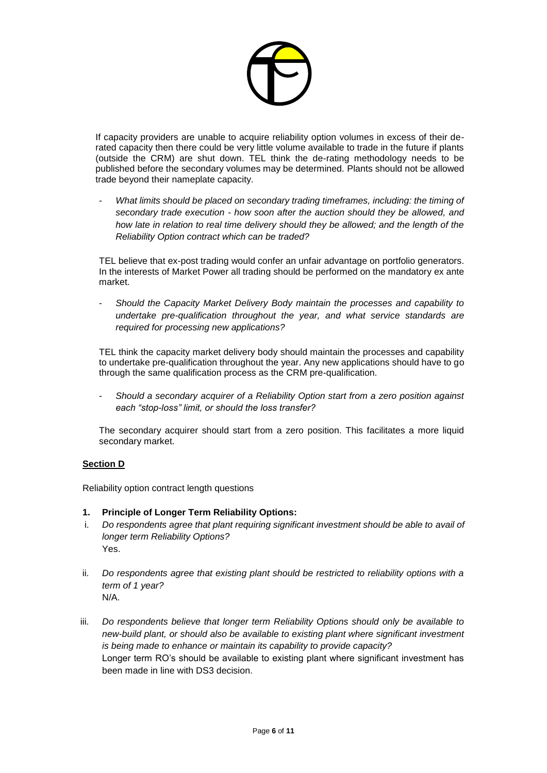

If capacity providers are unable to acquire reliability option volumes in excess of their derated capacity then there could be very little volume available to trade in the future if plants (outside the CRM) are shut down. TEL think the de-rating methodology needs to be published before the secondary volumes may be determined. Plants should not be allowed trade beyond their nameplate capacity.

- *What limits should be placed on secondary trading timeframes, including: the timing of secondary trade execution - how soon after the auction should they be allowed, and how late in relation to real time delivery should they be allowed; and the length of the Reliability Option contract which can be traded?*

TEL believe that ex-post trading would confer an unfair advantage on portfolio generators. In the interests of Market Power all trading should be performed on the mandatory ex ante market.

- *Should the Capacity Market Delivery Body maintain the processes and capability to undertake pre-qualification throughout the year, and what service standards are required for processing new applications?*

TEL think the capacity market delivery body should maintain the processes and capability to undertake pre-qualification throughout the year. Any new applications should have to go through the same qualification process as the CRM pre-qualification.

- *Should a secondary acquirer of a Reliability Option start from a zero position against each "stop-loss" limit, or should the loss transfer?*

The secondary acquirer should start from a zero position. This facilitates a more liquid secondary market.

#### **Section D**

Reliability option contract length questions

#### **1. Principle of Longer Term Reliability Options:**

- i. *Do respondents agree that plant requiring significant investment should be able to avail of longer term Reliability Options?* Yes.
- ii. *Do respondents agree that existing plant should be restricted to reliability options with a term of 1 year?* N/A.
- iii. *Do respondents believe that longer term Reliability Options should only be available to new-build plant, or should also be available to existing plant where significant investment is being made to enhance or maintain its capability to provide capacity?* Longer term RO's should be available to existing plant where significant investment has been made in line with DS3 decision.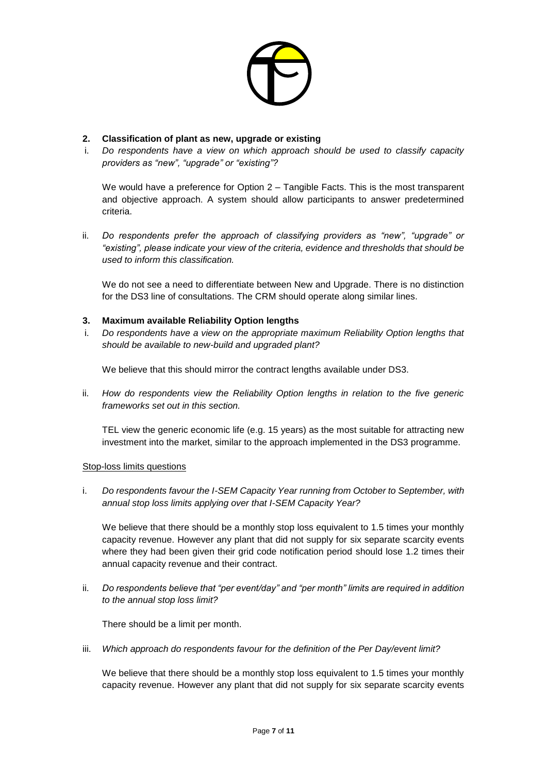

### **2. Classification of plant as new, upgrade or existing**

i. *Do respondents have a view on which approach should be used to classify capacity providers as "new", "upgrade" or "existing"?*

We would have a preference for Option 2 – Tangible Facts. This is the most transparent and objective approach. A system should allow participants to answer predetermined criteria.

ii. *Do respondents prefer the approach of classifying providers as "new", "upgrade" or "existing", please indicate your view of the criteria, evidence and thresholds that should be used to inform this classification.*

We do not see a need to differentiate between New and Upgrade. There is no distinction for the DS3 line of consultations. The CRM should operate along similar lines.

#### **3. Maximum available Reliability Option lengths**

i. *Do respondents have a view on the appropriate maximum Reliability Option lengths that should be available to new-build and upgraded plant?*

We believe that this should mirror the contract lengths available under DS3.

ii. *How do respondents view the Reliability Option lengths in relation to the five generic frameworks set out in this section.*

TEL view the generic economic life (e.g. 15 years) as the most suitable for attracting new investment into the market, similar to the approach implemented in the DS3 programme.

#### Stop-loss limits questions

i. *Do respondents favour the I-SEM Capacity Year running from October to September, with annual stop loss limits applying over that I-SEM Capacity Year?*

We believe that there should be a monthly stop loss equivalent to 1.5 times your monthly capacity revenue. However any plant that did not supply for six separate scarcity events where they had been given their grid code notification period should lose 1.2 times their annual capacity revenue and their contract.

ii. *Do respondents believe that "per event/day" and "per month" limits are required in addition to the annual stop loss limit?*

There should be a limit per month.

iii. *Which approach do respondents favour for the definition of the Per Day/event limit?*

We believe that there should be a monthly stop loss equivalent to 1.5 times your monthly capacity revenue. However any plant that did not supply for six separate scarcity events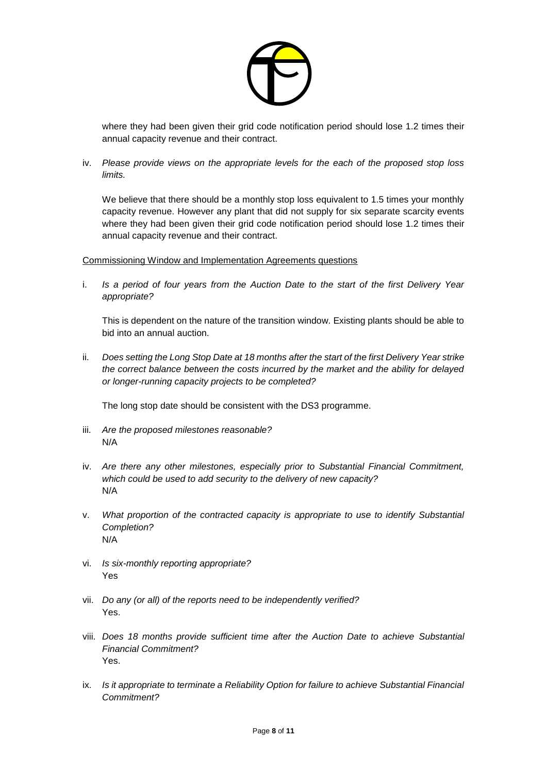

where they had been given their grid code notification period should lose 1.2 times their annual capacity revenue and their contract.

iv. *Please provide views on the appropriate levels for the each of the proposed stop loss limits.*

We believe that there should be a monthly stop loss equivalent to 1.5 times your monthly capacity revenue. However any plant that did not supply for six separate scarcity events where they had been given their grid code notification period should lose 1.2 times their annual capacity revenue and their contract.

Commissioning Window and Implementation Agreements questions

i. *Is a period of four years from the Auction Date to the start of the first Delivery Year appropriate?*

This is dependent on the nature of the transition window. Existing plants should be able to bid into an annual auction.

ii. *Does setting the Long Stop Date at 18 months after the start of the first Delivery Year strike the correct balance between the costs incurred by the market and the ability for delayed or longer-running capacity projects to be completed?*

The long stop date should be consistent with the DS3 programme.

- iii. *Are the proposed milestones reasonable?* N/A
- iv. *Are there any other milestones, especially prior to Substantial Financial Commitment, which could be used to add security to the delivery of new capacity?* N/A
- v. *What proportion of the contracted capacity is appropriate to use to identify Substantial Completion?* N/A
- vi. *Is six-monthly reporting appropriate?* Yes
- vii. *Do any (or all) of the reports need to be independently verified?* Yes.
- viii. *Does 18 months provide sufficient time after the Auction Date to achieve Substantial Financial Commitment?* Yes.
- ix. *Is it appropriate to terminate a Reliability Option for failure to achieve Substantial Financial Commitment?*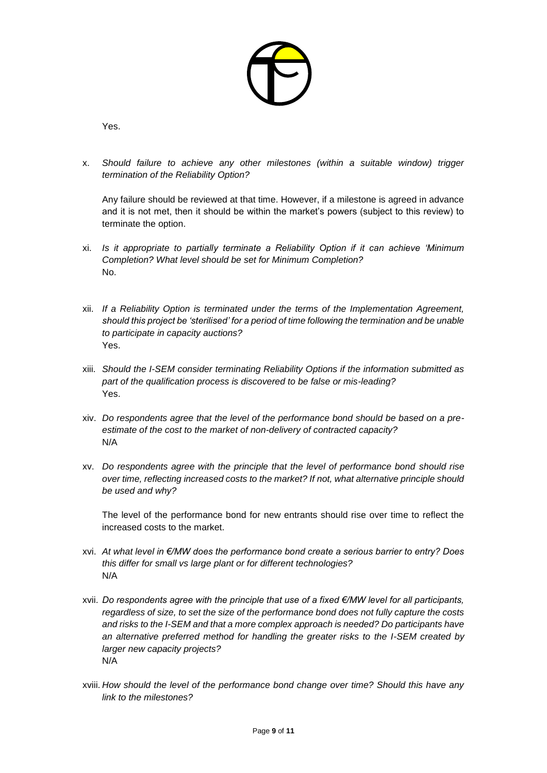

Yes.

x. *Should failure to achieve any other milestones (within a suitable window) trigger termination of the Reliability Option?*

Any failure should be reviewed at that time. However, if a milestone is agreed in advance and it is not met, then it should be within the market's powers (subject to this review) to terminate the option.

- xi. *Is it appropriate to partially terminate a Reliability Option if it can achieve 'Minimum Completion? What level should be set for Minimum Completion?* No.
- xii. *If a Reliability Option is terminated under the terms of the Implementation Agreement, should this project be 'sterilised' for a period of time following the termination and be unable to participate in capacity auctions?* Yes.
- xiii. *Should the I-SEM consider terminating Reliability Options if the information submitted as part of the qualification process is discovered to be false or mis-leading?* Yes.
- xiv. *Do respondents agree that the level of the performance bond should be based on a preestimate of the cost to the market of non-delivery of contracted capacity?* N/A
- xv. *Do respondents agree with the principle that the level of performance bond should rise over time, reflecting increased costs to the market? If not, what alternative principle should be used and why?*

The level of the performance bond for new entrants should rise over time to reflect the increased costs to the market.

- xvi. *At what level in €/MW does the performance bond create a serious barrier to entry? Does this differ for small vs large plant or for different technologies?* N/A
- xvii. *Do respondents agree with the principle that use of a fixed €/MW level for all participants, regardless of size, to set the size of the performance bond does not fully capture the costs and risks to the I-SEM and that a more complex approach is needed? Do participants have an alternative preferred method for handling the greater risks to the I-SEM created by larger new capacity projects?* N/A
- xviii. *How should the level of the performance bond change over time? Should this have any link to the milestones?*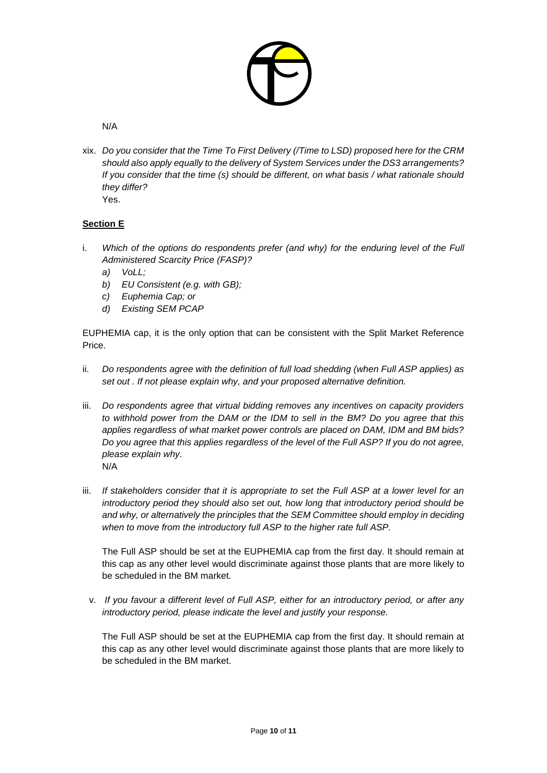

### N/A

xix. *Do you consider that the Time To First Delivery (/Time to LSD) proposed here for the CRM should also apply equally to the delivery of System Services under the DS3 arrangements? If you consider that the time (s) should be different, on what basis / what rationale should they differ?*

Yes.

# **Section E**

- i. *Which of the options do respondents prefer (and why) for the enduring level of the Full Administered Scarcity Price (FASP)?*
	- *a) VoLL;*
	- *b) EU Consistent (e.g. with GB);*
	- *c) Euphemia Cap; or*
	- *d) Existing SEM PCAP*

EUPHEMIA cap, it is the only option that can be consistent with the Split Market Reference Price.

- ii. *Do respondents agree with the definition of full load shedding (when Full ASP applies) as set out . If not please explain why, and your proposed alternative definition.*
- iii. *Do respondents agree that virtual bidding removes any incentives on capacity providers to withhold power from the DAM or the IDM to sell in the BM? Do you agree that this applies regardless of what market power controls are placed on DAM, IDM and BM bids? Do you agree that this applies regardless of the level of the Full ASP? If you do not agree, please explain why.* N/A
- iii. If stakeholders consider that it is appropriate to set the Full ASP at a lower level for an *introductory period they should also set out, how long that introductory period should be and why, or alternatively the principles that the SEM Committee should employ in deciding when to move from the introductory full ASP to the higher rate full ASP.*

The Full ASP should be set at the EUPHEMIA cap from the first day. It should remain at this cap as any other level would discriminate against those plants that are more likely to be scheduled in the BM market.

v. *If you favour a different level of Full ASP, either for an introductory period, or after any introductory period, please indicate the level and justify your response.*

The Full ASP should be set at the EUPHEMIA cap from the first day. It should remain at this cap as any other level would discriminate against those plants that are more likely to be scheduled in the BM market.